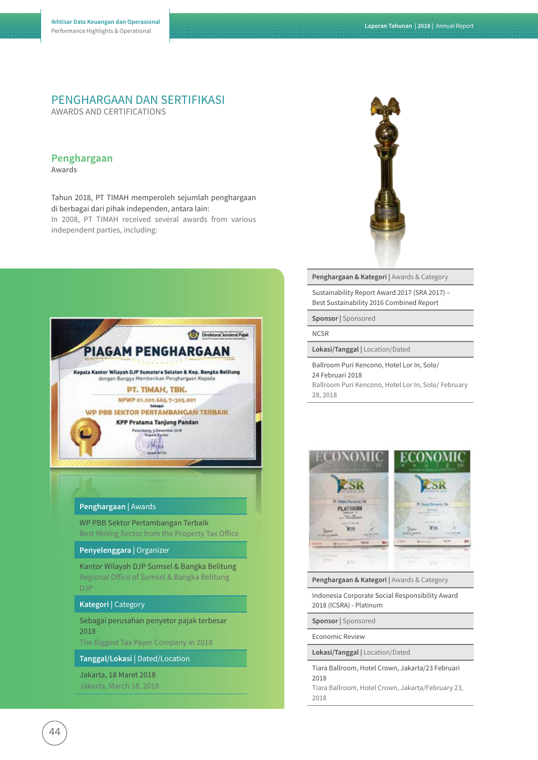# PENGHARGAAN DAN SERTIFIKASI

AWARDS AND CERTIFICATIONS

## **Penghargaan**

**Awards**

Tahun 2018, PT TIMAH memperoleh sejumlah penghargaan di berbagai dari pihak independen, antara lain: In 2008, PT TIMAH received several awards from various independent parties, including:



#### **Penghargaan |** Awards

WP PBB Sektor Pertambangan Terbaik Best Mining Sector from the Property Tax Office

#### **Penyelenggara |** Organizer

Kantor Wilayah DJP Sumsel & Bangka Belitung Regional Office of Sumsel & Bangka Belitung DJP

#### **Kategori |** Category

Sebagai perusahan penyetor pajak terbesar 2018

The Biggest Tax Payer Company in 2018

#### **Tanggal/Lokasi |** Dated/Location

Jakarta, 18 Maret 2018 Jakarta, March 18, 2018



**Penghargaan & Kategori |** Awards & Category

Sustainability Report Award 2017 (SRA 2017) – Best Sustainability 2016 Combined Report

**Sponsor |** Sponsored

#### **NCSR**

**Lokasi/Tanggal |** Location/Dated

Ballroom Puri Kencono, Hotel Lor In, Solo/ 24 Februari 2018

Ballroom Puri Kencono, Hotel Lor In, Solo/ February 28, 2018



**Penghargaan & Kategori |** Awards & Category

Indonesia Corporate Social Responsibility Award 2018 (ICSRA) - Platinum

**Sponsor |** Sponsored

#### Economic Review

**Lokasi/Tanggal |** Location/Dated

Tiara Ballroom, Hotel Crown, Jakarta/23 Februari 2018

Tiara Ballroom, Hotel Crown, Jakarta/February 23, 2018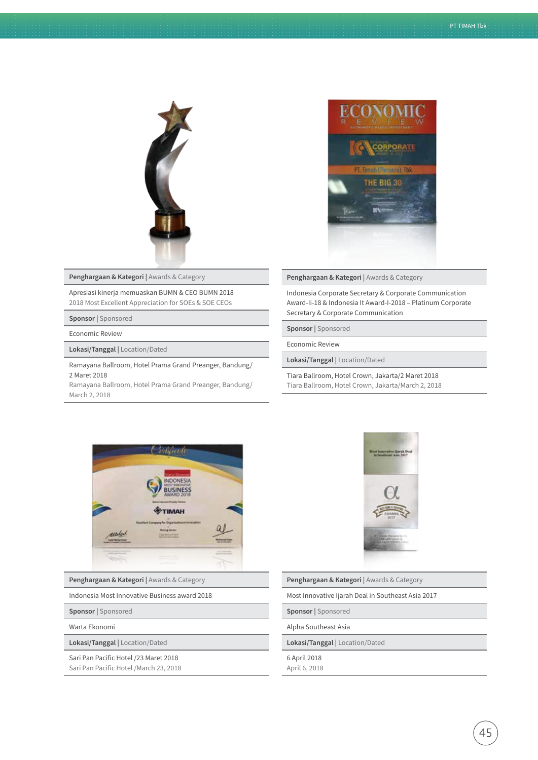

**Penghargaan & Kategori |** Awards & Category

Apresiasi kinerja memuaskan BUMN & CEO BUMN 2018 2018 Most Excellent Appreciation for SOEs & SOE CEOs

**Sponsor |** Sponsored

Economic Review

**Lokasi/Tanggal |** Location/Dated

Ramayana Ballroom, Hotel Prama Grand Preanger, Bandung/ 2 Maret 2018

Ramayana Ballroom, Hotel Prama Grand Preanger, Bandung/ March 2, 2018



#### **Penghargaan & Kategori |** Awards & Category

Indonesia Corporate Secretary & Corporate Communication Award-Ii-18 & Indonesia It Award-I-2018 – Platinum Corporate Secretary & Corporate Communication

**Sponsor |** Sponsored

Economic Review

**Lokasi/Tanggal |** Location/Dated

Tiara Ballroom, Hotel Crown, Jakarta/2 Maret 2018 Tiara Ballroom, Hotel Crown, Jakarta/March 2, 2018



**Penghargaan & Kategori |** Awards & Category

Indonesia Most Innovative Business award 2018

**Sponsor |** Sponsored

Warta Ekonomi

**Lokasi/Tanggal |** Location/Dated

Sari Pan Pacific Hotel /23 Maret 2018 Sari Pan Pacific Hotel /March 23, 2018



**Penghargaan & Kategori |** Awards & Category

Most Innovative Ijarah Deal in Southeast Asia 2017

**Sponsor |** Sponsored

Alpha Southeast Asia

**Lokasi/Tanggal |** Location/Dated

6 April 2018 April 6, 2018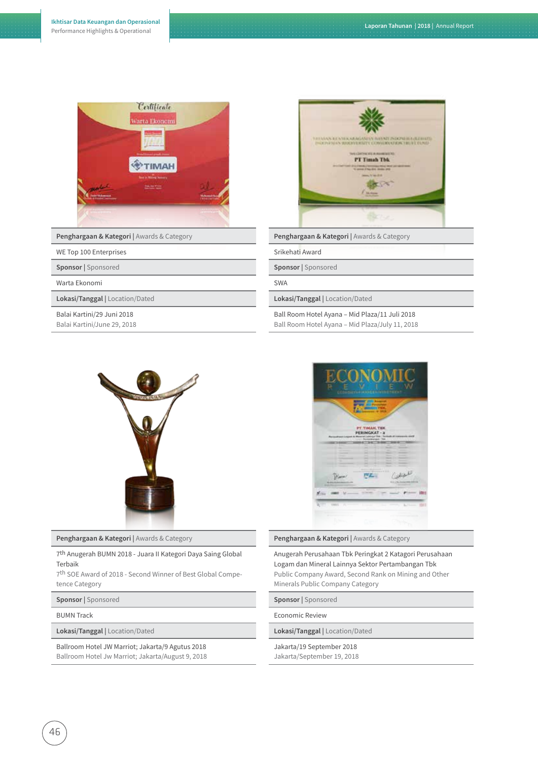

**Penghargaan & Kategori |** Awards & Category

#### WE Top 100 Enterprises

**Sponsor |** Sponsored

Warta Ekonomi

**Lokasi/Tanggal |** Location/Dated

Balai Kartini/29 Juni 2018 Balai Kartini/June 29, 2018



**Penghargaan & Kategori |** Awards & Category

Srikehati Award

**Sponsor |** Sponsored

SWA

**Lokasi/Tanggal |** Location/Dated

Ball Room Hotel Ayana – Mid Plaza/11 Juli 2018 Ball Room Hotel Ayana – Mid Plaza/July 11, 2018



**Penghargaan & Kategori |** Awards & Category

7th Anugerah BUMN 2018 - Juara II Kategori Daya Saing Global Terbaik

7th SOE Award of 2018 - Second Winner of Best Global Competence Category

**Sponsor |** Sponsored

BUMN Track

**Lokasi/Tanggal |** Location/Dated

Ballroom Hotel JW Marriot; Jakarta/9 Agutus 2018 Ballroom Hotel Jw Marriot; Jakarta/August 9, 2018



**Penghargaan & Kategori |** Awards & Category

Anugerah Perusahaan Tbk Peringkat 2 Katagori Perusahaan Logam dan Mineral Lainnya Sektor Pertambangan Tbk Public Company Award, Second Rank on Mining and Other Minerals Public Company Category

**Sponsor |** Sponsored

Economic Review

**Lokasi/Tanggal |** Location/Dated

Jakarta/19 September 2018

Jakarta/September 19, 2018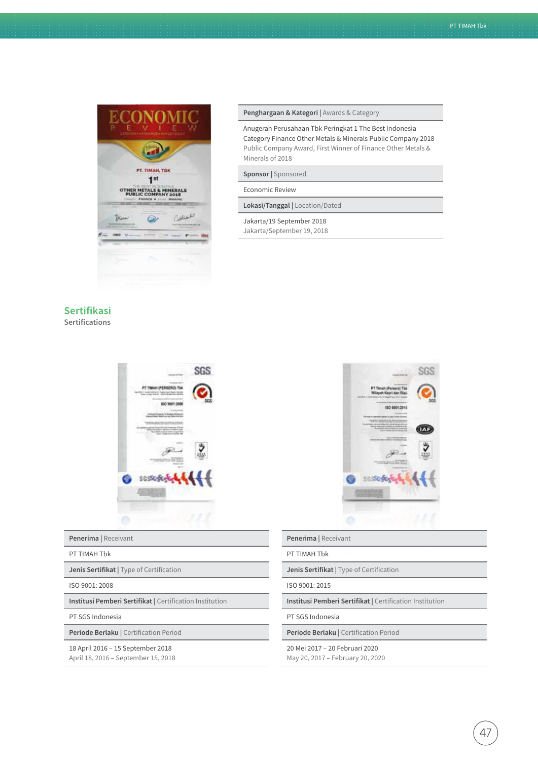

### **Sertifikasi Sertifications**

# SGS AH PERSE **HU'LGALL-TAN SGSSGS**

#### **Penerima |** Receivant

#### PT TIMAH Tbk

**Jenis Sertifikat | Type of Certification** 

ISO 9001: 2008

**Institusi Pemberi Sertifikat | Certification Institution** 

PT SGS Indonesia

**Periode Berlaku | Certification Period** 18 April 2016 – 15 September 2018

April 18, 2016 – September 15, 2018

#### **Penghargaan & Kategori |** Awards & Category

Anugerah Perusahaan Tbk Peringkat 1 The Best Indonesia Category Finance Other Metals & Minerals Public Company 2018 Public Company Award, First Winner of Finance Other Metals & Minerals of 2018

#### **Sponsor |** Sponsored

Economic Review

**Lokasi/Tanggal |** Location/Dated

Jakarta/19 September 2018 Jakarta/September 19, 2018



#### **Penerima |** Receivant

PT TIMAH Tbk

**Jenis Sertifikat | Type of Certification** 

ISO 9001: 2015

**Institusi Pemberi Sertifikat |** Certification Institution

PT SGS Indonesia

**Periode Berlaku | Certification Period** 

20 Mei 2017 – 20 Februari 2020 May 20, 2017 – February 20, 2020

4,